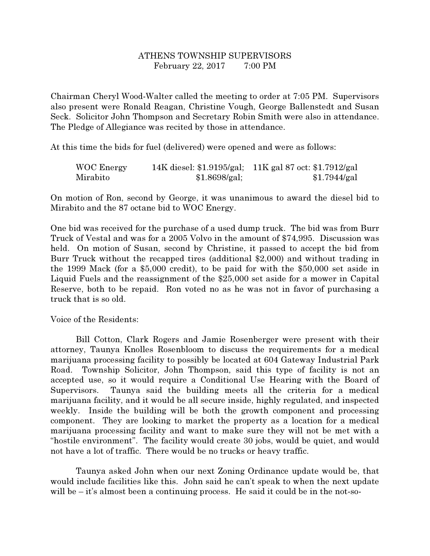## ATHENS TOWNSHIP SUPERVISORS February 22, 2017 7:00 PM

Chairman Cheryl Wood-Walter called the meeting to order at 7:05 PM. Supervisors also present were Ronald Reagan, Christine Vough, George Ballenstedt and Susan Seck. Solicitor John Thompson and Secretary Robin Smith were also in attendance. The Pledge of Allegiance was recited by those in attendance.

At this time the bids for fuel (delivered) were opened and were as follows:

| WOC Energy |               | 14K diesel: \$1.9195/gal; 11K gal 87 oct: \$1.7912/gal |
|------------|---------------|--------------------------------------------------------|
| Mirabito   | \$1.8698/gal; | \$1.7944/gal                                           |

On motion of Ron, second by George, it was unanimous to award the diesel bid to Mirabito and the 87 octane bid to WOC Energy.

One bid was received for the purchase of a used dump truck. The bid was from Burr Truck of Vestal and was for a 2005 Volvo in the amount of \$74,995. Discussion was held. On motion of Susan, second by Christine, it passed to accept the bid from Burr Truck without the recapped tires (additional \$2,000) and without trading in the 1999 Mack (for a \$5,000 credit), to be paid for with the \$50,000 set aside in Liquid Fuels and the reassignment of the \$25,000 set aside for a mower in Capital Reserve, both to be repaid. Ron voted no as he was not in favor of purchasing a truck that is so old.

Voice of the Residents:

 Bill Cotton, Clark Rogers and Jamie Rosenberger were present with their attorney, Taunya Knolles Rosenbloom to discuss the requirements for a medical marijuana processing facility to possibly be located at 604 Gateway Industrial Park Road. Township Solicitor, John Thompson, said this type of facility is not an accepted use, so it would require a Conditional Use Hearing with the Board of Supervisors. Taunya said the building meets all the criteria for a medical marijuana facility, and it would be all secure inside, highly regulated, and inspected weekly. Inside the building will be both the growth component and processing component. They are looking to market the property as a location for a medical marijuana processing facility and want to make sure they will not be met with a "hostile environment". The facility would create 30 jobs, would be quiet, and would not have a lot of traffic. There would be no trucks or heavy traffic.

 Taunya asked John when our next Zoning Ordinance update would be, that would include facilities like this. John said he can't speak to when the next update will be  $-$  it's almost been a continuing process. He said it could be in the not-so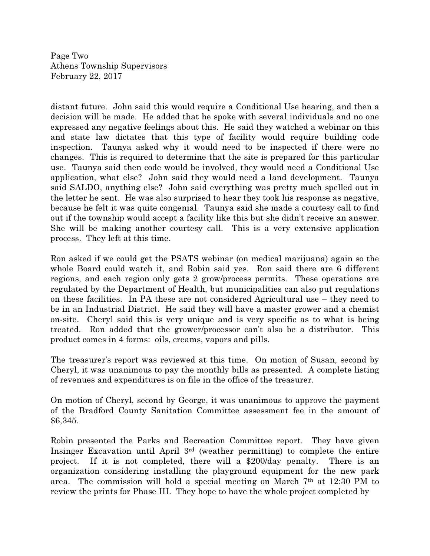Page Two Athens Township Supervisors February 22, 2017

distant future. John said this would require a Conditional Use hearing, and then a decision will be made. He added that he spoke with several individuals and no one expressed any negative feelings about this. He said they watched a webinar on this and state law dictates that this type of facility would require building code inspection. Taunya asked why it would need to be inspected if there were no changes. This is required to determine that the site is prepared for this particular use. Taunya said then code would be involved, they would need a Conditional Use application, what else? John said they would need a land development. Taunya said SALDO, anything else? John said everything was pretty much spelled out in the letter he sent. He was also surprised to hear they took his response as negative, because he felt it was quite congenial. Taunya said she made a courtesy call to find out if the township would accept a facility like this but she didn't receive an answer. She will be making another courtesy call. This is a very extensive application process. They left at this time.

Ron asked if we could get the PSATS webinar (on medical marijuana) again so the whole Board could watch it, and Robin said yes. Ron said there are 6 different regions, and each region only gets 2 grow/process permits. These operations are regulated by the Department of Health, but municipalities can also put regulations on these facilities. In PA these are not considered Agricultural use – they need to be in an Industrial District. He said they will have a master grower and a chemist on-site. Cheryl said this is very unique and is very specific as to what is being treated. Ron added that the grower/processor can't also be a distributor. This product comes in 4 forms: oils, creams, vapors and pills.

The treasurer's report was reviewed at this time. On motion of Susan, second by Cheryl, it was unanimous to pay the monthly bills as presented. A complete listing of revenues and expenditures is on file in the office of the treasurer.

On motion of Cheryl, second by George, it was unanimous to approve the payment of the Bradford County Sanitation Committee assessment fee in the amount of \$6,345.

Robin presented the Parks and Recreation Committee report. They have given Insinger Excavation until April 3rd (weather permitting) to complete the entire project. If it is not completed, there will a \$200/day penalty. There is an organization considering installing the playground equipment for the new park area. The commission will hold a special meeting on March 7th at 12:30 PM to review the prints for Phase III. They hope to have the whole project completed by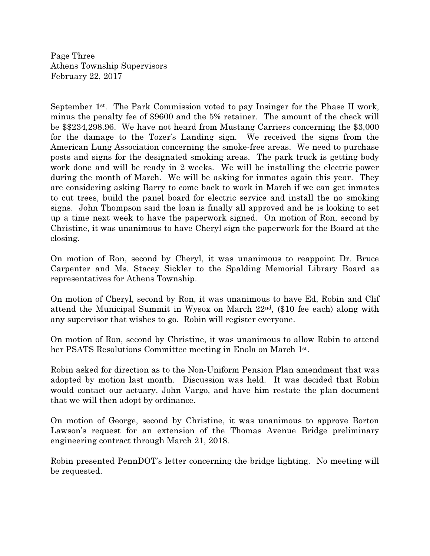Page Three Athens Township Supervisors February 22, 2017

September 1st. The Park Commission voted to pay Insinger for the Phase II work, minus the penalty fee of \$9600 and the 5% retainer. The amount of the check will be \$\$234,298.96. We have not heard from Mustang Carriers concerning the \$3,000 for the damage to the Tozer's Landing sign. We received the signs from the American Lung Association concerning the smoke-free areas. We need to purchase posts and signs for the designated smoking areas. The park truck is getting body work done and will be ready in 2 weeks. We will be installing the electric power during the month of March. We will be asking for inmates again this year. They are considering asking Barry to come back to work in March if we can get inmates to cut trees, build the panel board for electric service and install the no smoking signs. John Thompson said the loan is finally all approved and he is looking to set up a time next week to have the paperwork signed. On motion of Ron, second by Christine, it was unanimous to have Cheryl sign the paperwork for the Board at the closing.

On motion of Ron, second by Cheryl, it was unanimous to reappoint Dr. Bruce Carpenter and Ms. Stacey Sickler to the Spalding Memorial Library Board as representatives for Athens Township.

On motion of Cheryl, second by Ron, it was unanimous to have Ed, Robin and Clif attend the Municipal Summit in Wysox on March 22nd, (\$10 fee each) along with any supervisor that wishes to go. Robin will register everyone.

On motion of Ron, second by Christine, it was unanimous to allow Robin to attend her PSATS Resolutions Committee meeting in Enola on March 1st .

Robin asked for direction as to the Non-Uniform Pension Plan amendment that was adopted by motion last month. Discussion was held. It was decided that Robin would contact our actuary, John Vargo, and have him restate the plan document that we will then adopt by ordinance.

On motion of George, second by Christine, it was unanimous to approve Borton Lawson's request for an extension of the Thomas Avenue Bridge preliminary engineering contract through March 21, 2018.

Robin presented PennDOT's letter concerning the bridge lighting. No meeting will be requested.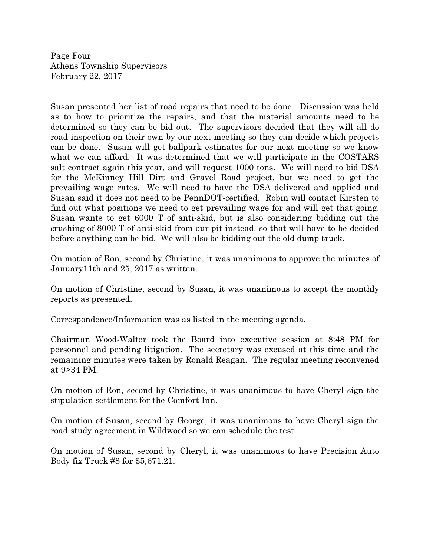Page Four Athens Township Supervisors February 22, 2017

Susan presented her list of road repairs that need to be done. Discussion was held as to how to prioritize the repairs, and that the material amounts need to be determined so they can be bid out. The supervisors decided that they will all do road inspection on their own by our next meeting so they can decide which projects can be done. Susan will get ballpark estimates for our next meeting so we know what we can afford. It was determined that we will participate in the COSTARS salt contract again this year, and will request 1000 tons. We will need to bid DSA for the McKinney Hill Dirt and Gravel Road project, but we need to get the prevailing wage rates. We will need to have the DSA delivered and applied and Susan said it does not need to be PennDOT-certified. Robin will contact Kirsten to find out what positions we need to get prevailing wage for and will get that going. Susan wants to get 6000 T of anti-skid, but is also considering bidding out the crushing of 8000 T of anti-skid from our pit instead, so that will have to be decided before anything can be bid. We will also be bidding out the old dump truck.

On motion of Ron, second by Christine, it was unanimous to approve the minutes of January11th and 25, 2017 as written.

On motion of Christine, second by Susan, it was unanimous to accept the monthly reports as presented.

Correspondence/Information was as listed in the meeting agenda.

Chairman Wood-Walter took the Board into executive session at 8:48 PM for personnel and pending litigation. The secretary was excused at this time and the remaining minutes were taken by Ronald Reagan. The regular meeting reconvened at 9>34 PM.

On motion of Ron, second by Christine, it was unanimous to have Cheryl sign the stipulation settlement for the Comfort Inn.

On motion of Susan, second by George, it was unanimous to have Cheryl sign the road study agreement in Wildwood so we can schedule the test.

On motion of Susan, second by Cheryl, it was unanimous to have Precision Auto Body fix Truck #8 for \$5,671.21.